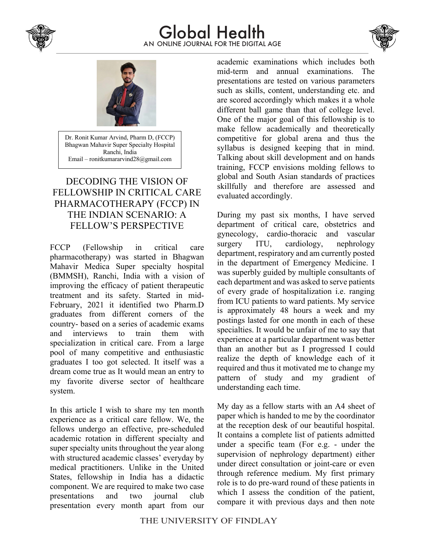

## AN ONLINE JOURNAL FOR THE DIGITAL AGE Global Health





Dr. Ronit Kumar Arvind, Pharm D, (FCCP) Bhagwan Mahavir Super Specialty Hospital Ranchi, India Email – ronitkumararvind28@gmail.com

## DECODING THE VISION OF FELLOWSHIP IN CRITICAL CARE PHARMACOTHERAPY (FCCP) IN THE INDIAN SCENARIO: A FELLOW'S PERSPECTIVE

FCCP (Fellowship in critical care pharmacotherapy) was started in Bhagwan Mahavir Medica Super specialty hospital (BMMSH), Ranchi, India with a vision of improving the efficacy of patient therapeutic treatment and its safety. Started in mid-February, 2021 it identified two Pharm.D graduates from different corners of the country- based on a series of academic exams and interviews to train them with specialization in critical care. From a large pool of many competitive and enthusiastic graduates I too got selected. It itself was a dream come true as It would mean an entry to my favorite diverse sector of healthcare system.

In this article I wish to share my ten month experience as a critical care fellow. We, the fellows undergo an effective, pre-scheduled academic rotation in different specialty and super specialty units throughout the year along with structured academic classes' everyday by medical practitioners. Unlike in the United States, fellowship in India has a didactic component. We are required to make two case presentations and two journal club presentation every month apart from our

academic examinations which includes both mid-term and annual examinations. The presentations are tested on various parameters such as skills, content, understanding etc. and are scored accordingly which makes it a whole different ball game than that of college level. One of the major goal of this fellowship is to make fellow academically and theoretically competitive for global arena and thus the syllabus is designed keeping that in mind. Talking about skill development and on hands training, FCCP envisions molding fellows to global and South Asian standards of practices skillfully and therefore are assessed and evaluated accordingly.

During my past six months, I have served department of critical care, obstetrics and gynecology, cardio-thoracic and vascular surgery ITU, cardiology, nephrology department, respiratory and am currently posted in the department of Emergency Medicine. I was superbly guided by multiple consultants of each department and was asked to serve patients of every grade of hospitalization i.e. ranging from ICU patients to ward patients. My service is approximately 48 hours a week and my postings lasted for one month in each of these specialties. It would be unfair of me to say that experience at a particular department was better than an another but as I progressed I could realize the depth of knowledge each of it required and thus it motivated me to change my pattern of study and my gradient of understanding each time.

My day as a fellow starts with an A4 sheet of paper which is handed to me by the coordinator at the reception desk of our beautiful hospital. It contains a complete list of patients admitted under a specific team (For e.g. - under the supervision of nephrology department) either under direct consultation or joint-care or even through reference medium. My first primary role is to do pre-ward round of these patients in which I assess the condition of the patient, compare it with previous days and then note